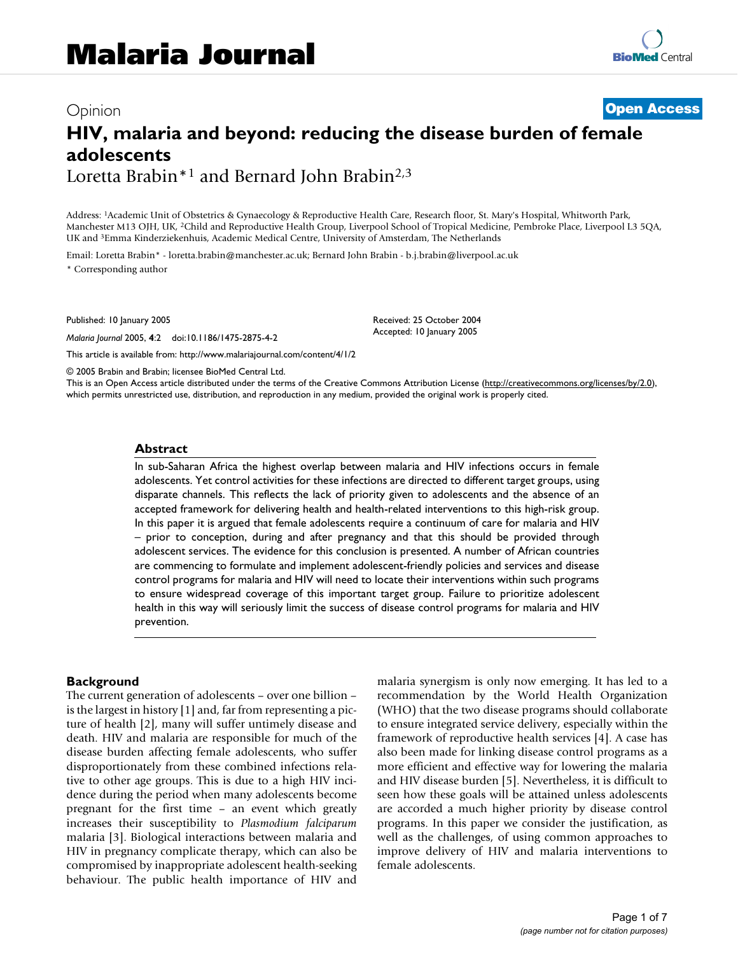# Opinion **[Open Access](http://www.biomedcentral.com/info/about/charter/) HIV, malaria and beyond: reducing the disease burden of female adolescents** Loretta Brabin<sup>\*1</sup> and Bernard John Brabin<sup>2,3</sup>

Address: 1Academic Unit of Obstetrics & Gynaecology & Reproductive Health Care, Research floor, St. Mary's Hospital, Whitworth Park, Manchester M13 OJH, UK, 2Child and Reproductive Health Group, Liverpool School of Tropical Medicine, Pembroke Place, Liverpool L3 5QA, UK and 3Emma Kinderziekenhuis, Academic Medical Centre, University of Amsterdam, The Netherlands

Email: Loretta Brabin\* - loretta.brabin@manchester.ac.uk; Bernard John Brabin - b.j.brabin@liverpool.ac.uk

\* Corresponding author

Published: 10 January 2005

*Malaria Journal* 2005, **4**:2 doi:10.1186/1475-2875-4-2

Received: 25 October 2004 Accepted: 10 January 2005

© 2005 Brabin and Brabin; licensee BioMed Central Ltd.

[This article is available from: http://www.malariajournal.com/content/4/1/2](http://www.malariajournal.com/content/4/1/2)

This is an Open Access article distributed under the terms of the Creative Commons Attribution License [\(http://creativecommons.org/licenses/by/2.0\)](http://creativecommons.org/licenses/by/2.0), which permits unrestricted use, distribution, and reproduction in any medium, provided the original work is properly cited.

#### **Abstract**

In sub-Saharan Africa the highest overlap between malaria and HIV infections occurs in female adolescents. Yet control activities for these infections are directed to different target groups, using disparate channels. This reflects the lack of priority given to adolescents and the absence of an accepted framework for delivering health and health-related interventions to this high-risk group. In this paper it is argued that female adolescents require a continuum of care for malaria and HIV – prior to conception, during and after pregnancy and that this should be provided through adolescent services. The evidence for this conclusion is presented. A number of African countries are commencing to formulate and implement adolescent-friendly policies and services and disease control programs for malaria and HIV will need to locate their interventions within such programs to ensure widespread coverage of this important target group. Failure to prioritize adolescent health in this way will seriously limit the success of disease control programs for malaria and HIV prevention.

#### **Background**

The current generation of adolescents – over one billion – is the largest in history [1] and, far from representing a picture of health [2], many will suffer untimely disease and death. HIV and malaria are responsible for much of the disease burden affecting female adolescents, who suffer disproportionately from these combined infections relative to other age groups. This is due to a high HIV incidence during the period when many adolescents become pregnant for the first time – an event which greatly increases their susceptibility to *Plasmodium falciparum* malaria [3]. Biological interactions between malaria and HIV in pregnancy complicate therapy, which can also be compromised by inappropriate adolescent health-seeking behaviour. The public health importance of HIV and malaria synergism is only now emerging. It has led to a recommendation by the World Health Organization (WHO) that the two disease programs should collaborate to ensure integrated service delivery, especially within the framework of reproductive health services [4]. A case has also been made for linking disease control programs as a more efficient and effective way for lowering the malaria and HIV disease burden [5]. Nevertheless, it is difficult to seen how these goals will be attained unless adolescents are accorded a much higher priority by disease control programs. In this paper we consider the justification, as well as the challenges, of using common approaches to improve delivery of HIV and malaria interventions to female adolescents.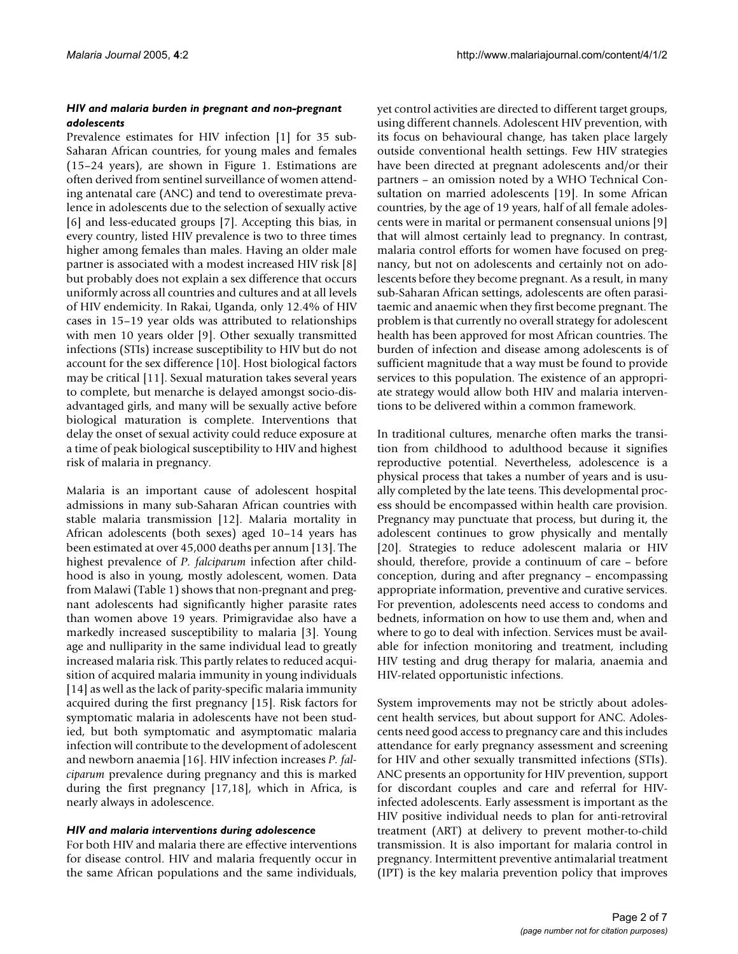# *HIV and malaria burden in pregnant and non-pregnant adolescents*

Prevalence estimates for HIV infection [1] for 35 sub-Saharan African countries, for young males and females (15–24 years), are shown in Figure [1](#page-2-0). Estimations are often derived from sentinel surveillance of women attending antenatal care (ANC) and tend to overestimate prevalence in adolescents due to the selection of sexually active [6] and less-educated groups [7]. Accepting this bias, in every country, listed HIV prevalence is two to three times higher among females than males. Having an older male partner is associated with a modest increased HIV risk [8] but probably does not explain a sex difference that occurs uniformly across all countries and cultures and at all levels of HIV endemicity. In Rakai, Uganda, only 12.4% of HIV cases in 15–19 year olds was attributed to relationships with men 10 years older [9]. Other sexually transmitted infections (STIs) increase susceptibility to HIV but do not account for the sex difference [10]. Host biological factors may be critical [11]. Sexual maturation takes several years to complete, but menarche is delayed amongst socio-disadvantaged girls, and many will be sexually active before biological maturation is complete. Interventions that delay the onset of sexual activity could reduce exposure at a time of peak biological susceptibility to HIV and highest risk of malaria in pregnancy.

Malaria is an important cause of adolescent hospital admissions in many sub-Saharan African countries with stable malaria transmission [12]. Malaria mortality in African adolescents (both sexes) aged 10–14 years has been estimated at over 45,000 deaths per annum [13]. The highest prevalence of *P. falciparum* infection after childhood is also in young, mostly adolescent, women. Data from Malawi (Table [1\)](#page-3-0) shows that non-pregnant and pregnant adolescents had significantly higher parasite rates than women above 19 years. Primigravidae also have a markedly increased susceptibility to malaria [3]. Young age and nulliparity in the same individual lead to greatly increased malaria risk. This partly relates to reduced acquisition of acquired malaria immunity in young individuals [14] as well as the lack of parity-specific malaria immunity acquired during the first pregnancy [15]. Risk factors for symptomatic malaria in adolescents have not been studied, but both symptomatic and asymptomatic malaria infection will contribute to the development of adolescent and newborn anaemia [16]. HIV infection increases *P. falciparum* prevalence during pregnancy and this is marked during the first pregnancy [17,18], which in Africa, is nearly always in adolescence.

# *HIV and malaria interventions during adolescence*

For both HIV and malaria there are effective interventions for disease control. HIV and malaria frequently occur in the same African populations and the same individuals,

yet control activities are directed to different target groups, using different channels. Adolescent HIV prevention, with its focus on behavioural change, has taken place largely outside conventional health settings. Few HIV strategies have been directed at pregnant adolescents and/or their partners – an omission noted by a WHO Technical Consultation on married adolescents [19]. In some African countries, by the age of 19 years, half of all female adolescents were in marital or permanent consensual unions [9] that will almost certainly lead to pregnancy. In contrast, malaria control efforts for women have focused on pregnancy, but not on adolescents and certainly not on adolescents before they become pregnant. As a result, in many sub-Saharan African settings, adolescents are often parasitaemic and anaemic when they first become pregnant. The problem is that currently no overall strategy for adolescent health has been approved for most African countries. The burden of infection and disease among adolescents is of sufficient magnitude that a way must be found to provide services to this population. The existence of an appropriate strategy would allow both HIV and malaria interventions to be delivered within a common framework.

In traditional cultures, menarche often marks the transition from childhood to adulthood because it signifies reproductive potential. Nevertheless, adolescence is a physical process that takes a number of years and is usually completed by the late teens. This developmental process should be encompassed within health care provision. Pregnancy may punctuate that process, but during it, the adolescent continues to grow physically and mentally [20]. Strategies to reduce adolescent malaria or HIV should, therefore, provide a continuum of care – before conception, during and after pregnancy – encompassing appropriate information, preventive and curative services. For prevention, adolescents need access to condoms and bednets, information on how to use them and, when and where to go to deal with infection. Services must be available for infection monitoring and treatment, including HIV testing and drug therapy for malaria, anaemia and HIV-related opportunistic infections.

System improvements may not be strictly about adolescent health services, but about support for ANC. Adolescents need good access to pregnancy care and this includes attendance for early pregnancy assessment and screening for HIV and other sexually transmitted infections (STIs). ANC presents an opportunity for HIV prevention, support for discordant couples and care and referral for HIVinfected adolescents. Early assessment is important as the HIV positive individual needs to plan for anti-retroviral treatment (ART) at delivery to prevent mother-to-child transmission. It is also important for malaria control in pregnancy. Intermittent preventive antimalarial treatment (IPT) is the key malaria prevention policy that improves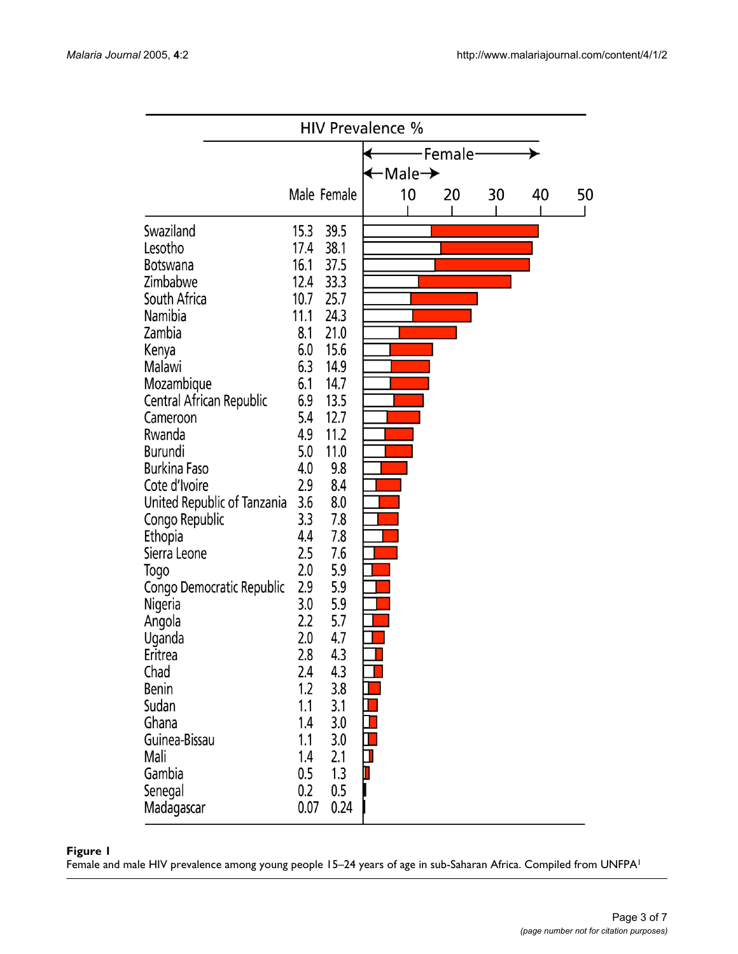<span id="page-2-0"></span>

|                                      |            |              | <b>HIV Prevalence %</b>  |          |    |    |    |
|--------------------------------------|------------|--------------|--------------------------|----------|----|----|----|
|                                      |            |              |                          | ·Female· |    |    |    |
|                                      |            |              | $\lq$ Male $\rightarrow$ |          |    |    |    |
|                                      |            | Male Female  | 10                       | 20       | 30 | 40 | 50 |
| Swaziland                            | 15.3       | 39.5         |                          |          |    |    |    |
| Lesotho                              | 17.4       | 38.1         |                          |          |    |    |    |
| <b>Botswana</b>                      | 16.1       | 37.5         |                          |          |    |    |    |
| Zimbabwe                             | 12.4       | 33.3         |                          |          |    |    |    |
| South Africa                         | 10.7       | 25.7         |                          |          |    |    |    |
| Namibia                              | 11.1       | 24.3         |                          |          |    |    |    |
| Zambia                               | 8.1        | 21.0         |                          |          |    |    |    |
| Kenya                                | 6.0        | 15.6         |                          |          |    |    |    |
| Malawi                               | 6.3        | 14.9         |                          |          |    |    |    |
| Mozambique                           | 6.1        | 14.7         |                          |          |    |    |    |
| Central African Republic<br>Cameroon | 6.9<br>5.4 | 13.5<br>12.7 |                          |          |    |    |    |
| Rwanda                               | 4.9        | 11.2         |                          |          |    |    |    |
| <b>Burundi</b>                       | 5.0        | 11.0         |                          |          |    |    |    |
| <b>Burkina Faso</b>                  | 4.0        | 9.8          |                          |          |    |    |    |
| Cote d'Ivoire                        | 2.9        | 8.4          |                          |          |    |    |    |
| United Republic of Tanzania          | 3.6        | 8.0          |                          |          |    |    |    |
| Congo Republic                       | 3.3        | 7.8          |                          |          |    |    |    |
| Ethopia                              | 4.4        | 7.8          |                          |          |    |    |    |
| Sierra Leone                         | 2.5        | 7.6          |                          |          |    |    |    |
| Togo                                 | 2.0        | 5.9          |                          |          |    |    |    |
| Congo Democratic Republic            | 2.9        | 5.9          |                          |          |    |    |    |
| Nigeria                              | 3.0        | 5.9          |                          |          |    |    |    |
| Angola                               | 2.2        | 5.7          |                          |          |    |    |    |
| Uganda                               | 2.0        | 4.7          |                          |          |    |    |    |
| Eritrea                              | 2.8        | 4.3          |                          |          |    |    |    |
| Chad                                 | 2.4        | 4.3          |                          |          |    |    |    |
| <b>Benin</b>                         | 1.2        | 3.8          |                          |          |    |    |    |
| Sudan                                | 1.1        | 3.1          |                          |          |    |    |    |
| Ghana                                | 1.4        | 3.0          |                          |          |    |    |    |
| Guinea-Bissau                        | 1.1        | 3.0          |                          |          |    |    |    |
| Mali                                 | 1.4        | 2.1          |                          |          |    |    |    |
| Gambia                               | 0.5        | 1.3          |                          |          |    |    |    |
| Senegal                              | 0.2        | 0.5          |                          |          |    |    |    |
| Madagascar                           | 0.07       | 0.24         |                          |          |    |    |    |

## Female and male HIV prevalence among young pe **Figure 1** ople 15–24 years of age in sub-Saharan Africa

Female and male HIV prevalence among young people 15–24 years of age in sub-Saharan Africa. Compiled from UNFPA1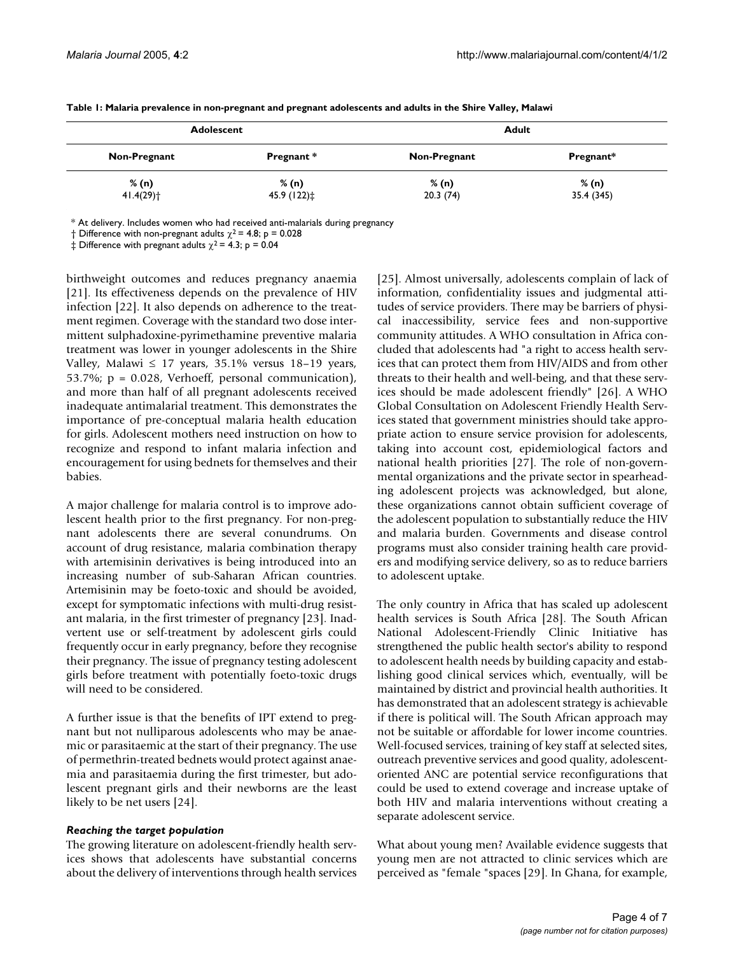| Adolescent   |             | <b>Adult</b> |            |
|--------------|-------------|--------------|------------|
| Non-Pregnant | Pregnant*   | Non-Pregnant | Pregnant*  |
| % (n)        | % (n)       | % (n)        | % (n)      |
| 41.4(29)†    | 45.9 (122)‡ | 20.3(74)     | 35.4 (345) |

<span id="page-3-0"></span>**Table 1: Malaria prevalence in non-pregnant and pregnant adolescents and adults in the Shire Valley, Malawi**

\* At delivery. Includes women who had received anti-malarials during pregnancy

† Difference with non-pregnant adults  $\chi^2$  = 4.8; p = 0.028

 $\ddagger$  Difference with pregnant adults  $\chi^2$  = 4.3; p = 0.04

birthweight outcomes and reduces pregnancy anaemia [21]. Its effectiveness depends on the prevalence of HIV infection [22]. It also depends on adherence to the treatment regimen. Coverage with the standard two dose intermittent sulphadoxine-pyrimethamine preventive malaria treatment was lower in younger adolescents in the Shire Valley, Malawi ≤ 17 years, 35.1% versus 18-19 years, 53.7%; p = 0.028, Verhoeff, personal communication), and more than half of all pregnant adolescents received inadequate antimalarial treatment. This demonstrates the importance of pre-conceptual malaria health education for girls. Adolescent mothers need instruction on how to recognize and respond to infant malaria infection and encouragement for using bednets for themselves and their babies.

A major challenge for malaria control is to improve adolescent health prior to the first pregnancy. For non-pregnant adolescents there are several conundrums. On account of drug resistance, malaria combination therapy with artemisinin derivatives is being introduced into an increasing number of sub-Saharan African countries. Artemisinin may be foeto-toxic and should be avoided, except for symptomatic infections with multi-drug resistant malaria, in the first trimester of pregnancy [23]. Inadvertent use or self-treatment by adolescent girls could frequently occur in early pregnancy, before they recognise their pregnancy. The issue of pregnancy testing adolescent girls before treatment with potentially foeto-toxic drugs will need to be considered.

A further issue is that the benefits of IPT extend to pregnant but not nulliparous adolescents who may be anaemic or parasitaemic at the start of their pregnancy. The use of permethrin-treated bednets would protect against anaemia and parasitaemia during the first trimester, but adolescent pregnant girls and their newborns are the least likely to be net users [24].

### *Reaching the target population*

The growing literature on adolescent-friendly health services shows that adolescents have substantial concerns about the delivery of interventions through health services [25]. Almost universally, adolescents complain of lack of information, confidentiality issues and judgmental attitudes of service providers. There may be barriers of physical inaccessibility, service fees and non-supportive community attitudes. A WHO consultation in Africa concluded that adolescents had "a right to access health services that can protect them from HIV/AIDS and from other threats to their health and well-being, and that these services should be made adolescent friendly" [26]. A WHO Global Consultation on Adolescent Friendly Health Services stated that government ministries should take appropriate action to ensure service provision for adolescents, taking into account cost, epidemiological factors and national health priorities [27]. The role of non-governmental organizations and the private sector in spearheading adolescent projects was acknowledged, but alone, these organizations cannot obtain sufficient coverage of the adolescent population to substantially reduce the HIV and malaria burden. Governments and disease control programs must also consider training health care providers and modifying service delivery, so as to reduce barriers to adolescent uptake.

The only country in Africa that has scaled up adolescent health services is South Africa [28]. The South African National Adolescent-Friendly Clinic Initiative has strengthened the public health sector's ability to respond to adolescent health needs by building capacity and establishing good clinical services which, eventually, will be maintained by district and provincial health authorities. It has demonstrated that an adolescent strategy is achievable if there is political will. The South African approach may not be suitable or affordable for lower income countries. Well-focused services, training of key staff at selected sites, outreach preventive services and good quality, adolescentoriented ANC are potential service reconfigurations that could be used to extend coverage and increase uptake of both HIV and malaria interventions without creating a separate adolescent service.

What about young men? Available evidence suggests that young men are not attracted to clinic services which are perceived as "female "spaces [29]. In Ghana, for example,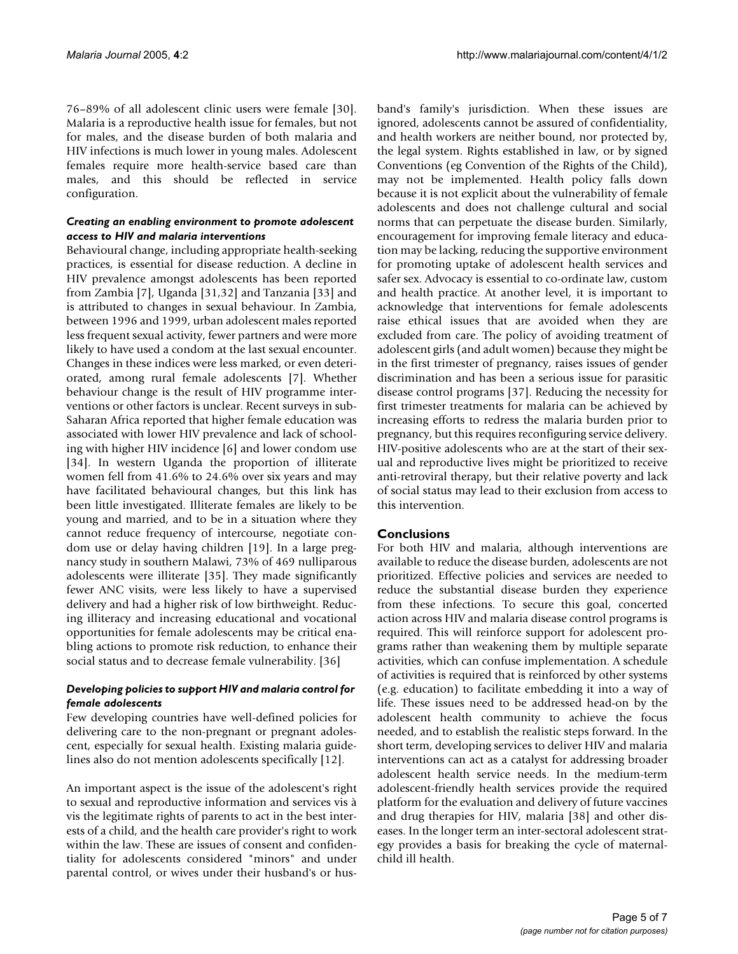76–89% of all adolescent clinic users were female [30]. Malaria is a reproductive health issue for females, but not for males, and the disease burden of both malaria and HIV infections is much lower in young males. Adolescent females require more health-service based care than males, and this should be reflected in service configuration.

# *Creating an enabling environment to promote adolescent access to HIV and malaria interventions*

Behavioural change, including appropriate health-seeking practices, is essential for disease reduction. A decline in HIV prevalence amongst adolescents has been reported from Zambia [7], Uganda [31,32] and Tanzania [33] and is attributed to changes in sexual behaviour. In Zambia, between 1996 and 1999, urban adolescent males reported less frequent sexual activity, fewer partners and were more likely to have used a condom at the last sexual encounter. Changes in these indices were less marked, or even deteriorated, among rural female adolescents [7]. Whether behaviour change is the result of HIV programme interventions or other factors is unclear. Recent surveys in sub-Saharan Africa reported that higher female education was associated with lower HIV prevalence and lack of schooling with higher HIV incidence [6] and lower condom use [34]. In western Uganda the proportion of illiterate women fell from 41.6% to 24.6% over six years and may have facilitated behavioural changes, but this link has been little investigated. Illiterate females are likely to be young and married, and to be in a situation where they cannot reduce frequency of intercourse, negotiate condom use or delay having children [19]. In a large pregnancy study in southern Malawi, 73% of 469 nulliparous adolescents were illiterate [35]. They made significantly fewer ANC visits, were less likely to have a supervised delivery and had a higher risk of low birthweight. Reducing illiteracy and increasing educational and vocational opportunities for female adolescents may be critical enabling actions to promote risk reduction, to enhance their social status and to decrease female vulnerability. [36]

# *Developing policies to support HIV and malaria control for female adolescents*

Few developing countries have well-defined policies for delivering care to the non-pregnant or pregnant adolescent, especially for sexual health. Existing malaria guidelines also do not mention adolescents specifically [12].

An important aspect is the issue of the adolescent's right to sexual and reproductive information and services vis à vis the legitimate rights of parents to act in the best interests of a child, and the health care provider's right to work within the law. These are issues of consent and confidentiality for adolescents considered "minors" and under parental control, or wives under their husband's or husband's family's jurisdiction. When these issues are ignored, adolescents cannot be assured of confidentiality, and health workers are neither bound, nor protected by, the legal system. Rights established in law, or by signed Conventions (eg Convention of the Rights of the Child), may not be implemented. Health policy falls down because it is not explicit about the vulnerability of female adolescents and does not challenge cultural and social norms that can perpetuate the disease burden. Similarly, encouragement for improving female literacy and education may be lacking, reducing the supportive environment for promoting uptake of adolescent health services and safer sex. Advocacy is essential to co-ordinate law, custom and health practice. At another level, it is important to acknowledge that interventions for female adolescents raise ethical issues that are avoided when they are excluded from care. The policy of avoiding treatment of adolescent girls (and adult women) because they might be in the first trimester of pregnancy, raises issues of gender discrimination and has been a serious issue for parasitic disease control programs [37]. Reducing the necessity for first trimester treatments for malaria can be achieved by increasing efforts to redress the malaria burden prior to pregnancy, but this requires reconfiguring service delivery. HIV-positive adolescents who are at the start of their sexual and reproductive lives might be prioritized to receive anti-retroviral therapy, but their relative poverty and lack of social status may lead to their exclusion from access to this intervention.

# **Conclusions**

For both HIV and malaria, although interventions are available to reduce the disease burden, adolescents are not prioritized. Effective policies and services are needed to reduce the substantial disease burden they experience from these infections. To secure this goal, concerted action across HIV and malaria disease control programs is required. This will reinforce support for adolescent programs rather than weakening them by multiple separate activities, which can confuse implementation. A schedule of activities is required that is reinforced by other systems (e.g. education) to facilitate embedding it into a way of life. These issues need to be addressed head-on by the adolescent health community to achieve the focus needed, and to establish the realistic steps forward. In the short term, developing services to deliver HIV and malaria interventions can act as a catalyst for addressing broader adolescent health service needs. In the medium-term adolescent-friendly health services provide the required platform for the evaluation and delivery of future vaccines and drug therapies for HIV, malaria [38] and other diseases. In the longer term an inter-sectoral adolescent strategy provides a basis for breaking the cycle of maternalchild ill health.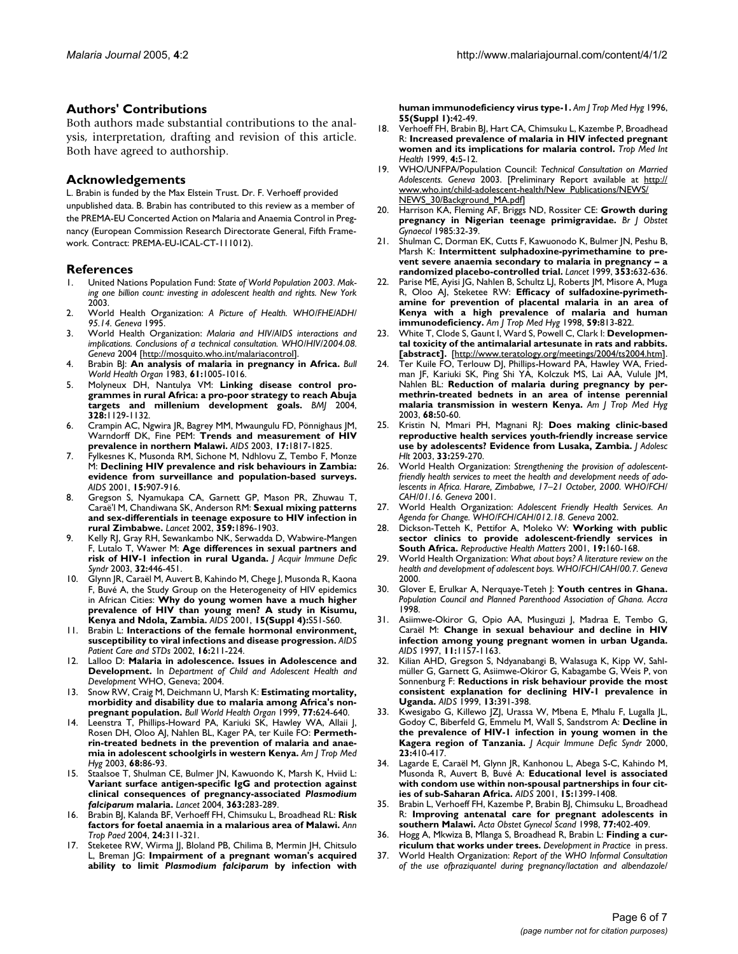#### **Authors' Contributions**

Both authors made substantial contributions to the analysis, interpretation, drafting and revision of this article. Both have agreed to authorship.

### **Acknowledgements**

L. Brabin is funded by the Max Elstein Trust. Dr. F. Verhoeff provided unpublished data. B. Brabin has contributed to this review as a member of the PREMA-EU Concerted Action on Malaria and Anaemia Control in Pregnancy (European Commission Research Directorate General, Fifth Framework. Contract: PREMA-EU-ICAL-CT-111012).

### **References**

- 1. United Nations Population Fund: *State of World Population 2003. Making one billion count: investing in adolescent health and rights. New York* 2003.
- 2. World Health Organization: *A Picture of Health. WHO/FHE/ADH/ 95.14. Geneva* 1995.
- 3. World Health Organization: *Malaria and HIV/AIDS interactions and implications. Conclusions of a technical consultation. WHO/HIV/2004.08. Geneva* 2004 [[http://mosquito.who.int/malariacontrol\]](http://mosquito.who.int/malariacontrol).
- 4. Brabin BJ: **[An analysis of malaria in pregnancy in Africa.](http://www.ncbi.nlm.nih.gov/entrez/query.fcgi?cmd=Retrieve&db=PubMed&dopt=Abstract&list_uids=6370484)** *Bull World Health Organ* 1983, **61:**1005-1016.
- 5. Molyneux DH, Nantulya VM: **[Linking disease control pro](http://www.ncbi.nlm.nih.gov/entrez/query.fcgi?cmd=Retrieve&db=PubMed&dopt=Abstract&list_uids=14711749)[grammes in rural Africa: a pro-poor strategy to reach Abuja](http://www.ncbi.nlm.nih.gov/entrez/query.fcgi?cmd=Retrieve&db=PubMed&dopt=Abstract&list_uids=14711749) [targets and millenium development goals.](http://www.ncbi.nlm.nih.gov/entrez/query.fcgi?cmd=Retrieve&db=PubMed&dopt=Abstract&list_uids=14711749)** *BMJ* 2004, **328:**1129-1132.
- 6. Crampin AC, Ngwira JR, Bagrey MM, Mwaungulu FD, Pönnighaus JM, Warndorff DK, Fine PEM: **[Trends and measurement of HIV](http://www.ncbi.nlm.nih.gov/entrez/query.fcgi?cmd=Retrieve&db=PubMed&dopt=Abstract&list_uids=12891068) [prevalence in northern Malawi.](http://www.ncbi.nlm.nih.gov/entrez/query.fcgi?cmd=Retrieve&db=PubMed&dopt=Abstract&list_uids=12891068)** *AIDS* 2003, **17:**1817-1825.
- 7. Fylkesnes K, Musonda RM, Sichone M, Ndhlovu Z, Tembo F, Monze M: **[Declining HIV prevalence and risk behaviours in Zambia:](http://www.ncbi.nlm.nih.gov/entrez/query.fcgi?cmd=Retrieve&db=PubMed&dopt=Abstract&list_uids=11399963) [evidence from surveillance and population-based surveys.](http://www.ncbi.nlm.nih.gov/entrez/query.fcgi?cmd=Retrieve&db=PubMed&dopt=Abstract&list_uids=11399963)** *AIDS* 2001, **15:**907-916.
- 8. Gregson S, Nyamukapa CA, Garnett GP, Mason PR, Zhuwau T, Caraë'l M, Chandiwana SK, Anderson RM: **[Sexual mixing patterns](http://www.ncbi.nlm.nih.gov/entrez/query.fcgi?cmd=Retrieve&db=PubMed&dopt=Abstract&list_uids=12057552) [and sex-differentials in teenage exposure to HIV infection in](http://www.ncbi.nlm.nih.gov/entrez/query.fcgi?cmd=Retrieve&db=PubMed&dopt=Abstract&list_uids=12057552) [rural Zimbabwe.](http://www.ncbi.nlm.nih.gov/entrez/query.fcgi?cmd=Retrieve&db=PubMed&dopt=Abstract&list_uids=12057552)** *Lancet* 2002, **359:**1896-1903.
- 9. Kelly RJ, Gray RH, Sewankambo NK, Serwadda D, Wabwire-Mangen F, Lutalo T, Wawer M: **[Age differences in sexual partners and](http://www.ncbi.nlm.nih.gov/entrez/query.fcgi?cmd=Retrieve&db=PubMed&dopt=Abstract&list_uids=12640205) [risk of HIV-1 infection in rural Uganda.](http://www.ncbi.nlm.nih.gov/entrez/query.fcgi?cmd=Retrieve&db=PubMed&dopt=Abstract&list_uids=12640205)** *J Acquir Immune Defic Syndr* 2003, **32:**446-451.
- 10. Glynn JR, Caraël M, Auvert B, Kahindo M, Chege J, Musonda R, Kaona F, Buvé A, the Study Group on the Heterogeneity of HIV epidemics in African Cities: **[Why do young women have a much higher](http://www.ncbi.nlm.nih.gov/entrez/query.fcgi?cmd=Retrieve&db=PubMed&dopt=Abstract&list_uids=11686466) [prevalence of HIV than young men? A study in Kisumu,](http://www.ncbi.nlm.nih.gov/entrez/query.fcgi?cmd=Retrieve&db=PubMed&dopt=Abstract&list_uids=11686466) [Kenya and Ndola, Zambia.](http://www.ncbi.nlm.nih.gov/entrez/query.fcgi?cmd=Retrieve&db=PubMed&dopt=Abstract&list_uids=11686466)** *AIDS* 2001, **15(Suppl 4):**S51-S60.
- 11. Brabin L: **[Interactions of the female hormonal environment,](http://www.ncbi.nlm.nih.gov/entrez/query.fcgi?cmd=Retrieve&db=PubMed&dopt=Abstract&list_uids=12055029) [susceptibility to viral infections and disease progression.](http://www.ncbi.nlm.nih.gov/entrez/query.fcgi?cmd=Retrieve&db=PubMed&dopt=Abstract&list_uids=12055029)** *AIDS Patient Care and STDs* 2002, **16:**211-224.
- 12. Lalloo D: **Malaria in adolescence. Issues in Adolescence and Development.** In *Department of Child and Adolescent Health and Development* WHO, Geneva; 2004.
- 13. Snow RW, Craig M, Deichmann U, Marsh K: **[Estimating mortality,](http://www.ncbi.nlm.nih.gov/entrez/query.fcgi?cmd=Retrieve&db=PubMed&dopt=Abstract&list_uids=10516785) [morbidity and disability due to malaria among Africa's non](http://www.ncbi.nlm.nih.gov/entrez/query.fcgi?cmd=Retrieve&db=PubMed&dopt=Abstract&list_uids=10516785)[pregnant population.](http://www.ncbi.nlm.nih.gov/entrez/query.fcgi?cmd=Retrieve&db=PubMed&dopt=Abstract&list_uids=10516785)** *Bull World Health Organ* 1999, **77:**624-640.
- 14. Leenstra T, Phillips-Howard PA, Kariuki SK, Hawley WA, Allaii J, Rosen DH, Oloo AJ, Nahlen BL, Kager PA, ter Kuile FO: **[Permeth](http://www.ncbi.nlm.nih.gov/entrez/query.fcgi?cmd=Retrieve&db=PubMed&dopt=Abstract&list_uids=12749490)[rin-treated bednets in the prevention of malaria and anae](http://www.ncbi.nlm.nih.gov/entrez/query.fcgi?cmd=Retrieve&db=PubMed&dopt=Abstract&list_uids=12749490)[mia in adolescent schoolgirls in western Kenya.](http://www.ncbi.nlm.nih.gov/entrez/query.fcgi?cmd=Retrieve&db=PubMed&dopt=Abstract&list_uids=12749490)** *Am J Trop Med Hyg* 2003, **68:**86-93.
- 15. Staalsoe T, Shulman CE, Bulmer JN, Kawuondo K, Marsh K, Hviid L: **Variant surface antigen-specific IgG and protection against clinical consequences of pregnancy-associated** *Plasmodium falciparum* **[malaria.](http://www.ncbi.nlm.nih.gov/entrez/query.fcgi?cmd=Retrieve&db=PubMed&dopt=Abstract&list_uids=14751701)** *Lancet* 2004, **363:**283-289.
- 16. Brabin BJ, Kalanda BF, Verhoeff FH, Chimsuku L, Broadhead RL: **Risk factors for foetal anaemia in a malarious area of Malawi.** *Ann Trop Paed* 2004, **24:**311-321.
- 17. Steketee RW, Wirma JJ, Bloland PB, Chilima B, Mermin JH, Chitsulo L, Breman JG: **Impairment of a pregnant woman's acquired ability to limit** *Plasmodium falciparum* **by infection with**

**human immunodeficiency virus type-1.** *Am J Trop Med Hyg* 1996, **55(Suppl 1):**42-49.

- 18. Verhoeff FH, Brabin BJ, Hart CA, Chimsuku L, Kazembe P, Broadhead R: **[Increased prevalence of malaria in HIV infected pregnant](http://www.ncbi.nlm.nih.gov/entrez/query.fcgi?cmd=Retrieve&db=PubMed&dopt=Abstract&list_uids=10203167) [women and its implications for malaria control.](http://www.ncbi.nlm.nih.gov/entrez/query.fcgi?cmd=Retrieve&db=PubMed&dopt=Abstract&list_uids=10203167)** *Trop Med Int Health* 1999, **4:**5-12.
- 19. WHO/UNFPA/Population Council: *Technical Consultation on Married Adolescents. Geneva* 2003. [Preliminary Report available at [http://](http://www.who.int/child-adolescent-health/New_Publications/NEWS/NEWS_30/Background_MA.pdf) [www.who.int/child-adolescent-health/New\\_Publications/NEWS/](http://www.who.int/child-adolescent-health/New_Publications/NEWS/NEWS_30/Background_MA.pdf) NEWS 30/Background MA.pdf
- 20. Harrison KA, Fleming AF, Briggs ND, Rossiter CE: **Growth during pregnancy in Nigerian teenage primigravidae.** *Br J Obstet Gynaecol* 1985:32-39.
- 21. Shulman C, Dorman EK, Cutts F, Kawuonodo K, Bulmer JN, Peshu B, Marsh K: **[Intermittent sulphadoxine-pyrimethamine to pre](http://www.ncbi.nlm.nih.gov/entrez/query.fcgi?cmd=Retrieve&db=PubMed&dopt=Abstract&list_uids=10030329)[vent severe anaemia secondary to malaria in pregnancy – a](http://www.ncbi.nlm.nih.gov/entrez/query.fcgi?cmd=Retrieve&db=PubMed&dopt=Abstract&list_uids=10030329) [randomized placebo-controlled trial.](http://www.ncbi.nlm.nih.gov/entrez/query.fcgi?cmd=Retrieve&db=PubMed&dopt=Abstract&list_uids=10030329)** *Lancet* 1999, **353:**632-636.
- 22. Parise ME, Ayisi JG, Nahlen B, Schultz LJ, Roberts JM, Misore A, Muga R, Oloo AJ, Steketee RW: **[Efficacy of sulfadoxine-pyrimeth](http://www.ncbi.nlm.nih.gov/entrez/query.fcgi?cmd=Retrieve&db=PubMed&dopt=Abstract&list_uids=9840604)amine for prevention of placental malaria in an area of [Kenya with a high prevalence of malaria and human](http://www.ncbi.nlm.nih.gov/entrez/query.fcgi?cmd=Retrieve&db=PubMed&dopt=Abstract&list_uids=9840604) [immunodeficiency.](http://www.ncbi.nlm.nih.gov/entrez/query.fcgi?cmd=Retrieve&db=PubMed&dopt=Abstract&list_uids=9840604)** *Am J Trop Med Hyg* 1998, **59:**813-822.
- 23. White T, Clode S, Gaunt I, Ward S, Powell C, Clark I: **Developmental toxicity of the antimalarial artesunate in rats and rabbits. [abstract].** [\[http://www.teratology.org/meetings/2004/ts2004.htm\]](http://www.teratology.org/meetings/2004/ts2004.htm).
- 24. Ter Kuile FO, Terlouw DJ, Phillips-Howard PA, Hawley WA, Friedman JF, Kariuki SK, Ping Shi YA, Kolczuk MS, Lai AA, Vulule JM, Nahlen BL: **[Reduction of malaria during pregnancy by per](http://www.ncbi.nlm.nih.gov/entrez/query.fcgi?cmd=Retrieve&db=PubMed&dopt=Abstract&list_uids=12749486)[methrin-treated bednets in an area of intense perennial](http://www.ncbi.nlm.nih.gov/entrez/query.fcgi?cmd=Retrieve&db=PubMed&dopt=Abstract&list_uids=12749486) [malaria transmission in western Kenya.](http://www.ncbi.nlm.nih.gov/entrez/query.fcgi?cmd=Retrieve&db=PubMed&dopt=Abstract&list_uids=12749486)** *Am J Trop Med Hyg* 2003, **68:**50-60.
- 25. Kristin N, Mmari PH, Magnani RJ: **Does making clinic-based reproductive health services youth-friendly increase service use by adolescents? Evidence from Lusaka, Zambia.** *J Adolesc Hlt* 2003, **33:**259-270.
- 26. World Health Organization: *Strengthening the provision of adolescentfriendly health services to meet the health and development needs of adolescents in Africa. Harare, Zimbabwe, 17–21 October, 2000. WHO/FCH/ CAH/01.16. Geneva* 2001.
- 27. World Health Organization: *Adolescent Friendly Health Services. An Agenda for Change. WHO/FCH/CAH/012.18. Geneva* 2002.
- 28. Dickson-Tetteh K, Pettifor A, Moleko W: **Working with public sector clinics to provide adolescent-friendly services in South Africa.** *Reproductive Health Matters* 2001, **19:**160-168.
- 29. World Health Organization: *What about boys? A literature review on the health and development of adolescent boys. WHO/FCH/CAH/00.7. Geneva* 2000.
- 30. Glover E, Erulkar A, Nerquaye-Teteh J: **Youth centres in Ghana.** *Population Council and Planned Parenthood Association of Ghana. Accra* 1998.
- 31. Asiimwe-Okiror G, Opio AA, Musinguzi J, Madraa E, Tembo G, Caraël M: **Change in sexual behaviour and decline in HIV infection among young pregnant women in urban Uganda.** *AIDS* 1997, **11:**1157-1163.
- Kilian AHD, Gregson S, Ndyanabangi B, Walasuga K, Kipp W, Sahlmüller G, Garnett G, Asiimwe-Okiror G, Kabagambe G, Weis P, von Sonnenburg F: **[Reductions in risk behaviour provide the most](http://www.ncbi.nlm.nih.gov/entrez/query.fcgi?cmd=Retrieve&db=PubMed&dopt=Abstract&list_uids=10199230) [consistent explanation for declining HIV-1 prevalence in](http://www.ncbi.nlm.nih.gov/entrez/query.fcgi?cmd=Retrieve&db=PubMed&dopt=Abstract&list_uids=10199230) [Uganda.](http://www.ncbi.nlm.nih.gov/entrez/query.fcgi?cmd=Retrieve&db=PubMed&dopt=Abstract&list_uids=10199230)** *AIDS* 1999, **13:**391-398.
- Kwesigabo G, Killewo JZJ, Urassa W, Mbena E, Mhalu F, Lugalla JL, Godoy C, Biberfeld G, Emmelu M, Wall S, Sandstrom A: **[Decline in](http://www.ncbi.nlm.nih.gov/entrez/query.fcgi?cmd=Retrieve&db=PubMed&dopt=Abstract&list_uids=10866234) [the prevalence of HIV-1 infection in young women in the](http://www.ncbi.nlm.nih.gov/entrez/query.fcgi?cmd=Retrieve&db=PubMed&dopt=Abstract&list_uids=10866234) [Kagera region of Tanzania.](http://www.ncbi.nlm.nih.gov/entrez/query.fcgi?cmd=Retrieve&db=PubMed&dopt=Abstract&list_uids=10866234)** *J Acquir Immune Defic Syndr* 2000, **23:**410-417.
- 34. Lagarde E, Caraël M, Glynn JR, Kanhonou L, Abega S-C, Kahindo M, Musonda R, Auvert B, Buvé A: **[Educational level is associated](http://www.ncbi.nlm.nih.gov/entrez/query.fcgi?cmd=Retrieve&db=PubMed&dopt=Abstract&list_uids=11504961) [with condom use within non-spousal partnerships in four cit](http://www.ncbi.nlm.nih.gov/entrez/query.fcgi?cmd=Retrieve&db=PubMed&dopt=Abstract&list_uids=11504961)[ies of sub-Saharan Africa.](http://www.ncbi.nlm.nih.gov/entrez/query.fcgi?cmd=Retrieve&db=PubMed&dopt=Abstract&list_uids=11504961)** *AIDS* 2001, **15:**1399-1408.
- 35. Brabin L, Verhoeff FH, Kazembe P, Brabin BJ, Chimsuku L, Broadhead R: **[Improving antenatal care for pregnant adolescents in](http://www.ncbi.nlm.nih.gov/entrez/query.fcgi?cmd=Retrieve&db=PubMed&dopt=Abstract&list_uids=9598948) [southern Malawi.](http://www.ncbi.nlm.nih.gov/entrez/query.fcgi?cmd=Retrieve&db=PubMed&dopt=Abstract&list_uids=9598948)** *Acta Obstet Gynecol Scand* 1998, **77:**402-409.
- 36. Hogg A, Mkwiza B, Mlanga S, Broadhead R, Brabin L: **Finding a curriculum that works under trees.** *Development in Practice* in press.
- 37. World Health Organization: *Report of the WHO Informal Consultation of the use ofpraziquantel during pregnancy/lactation and albendazole/*